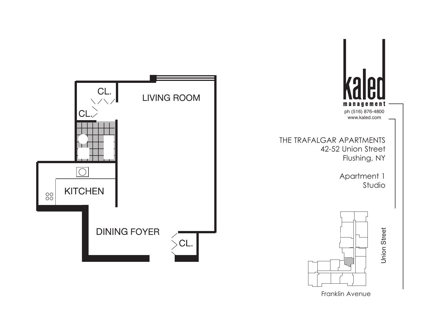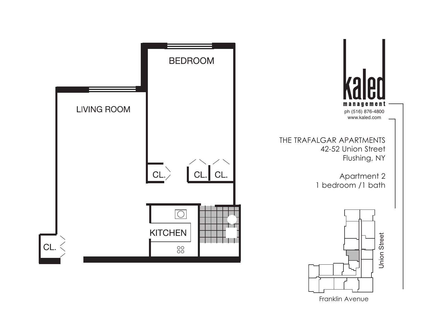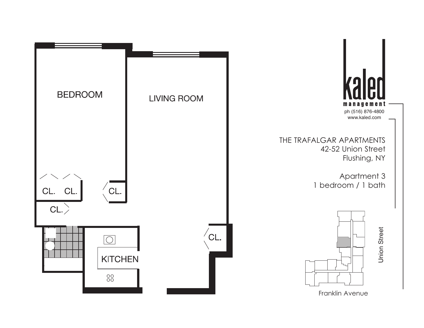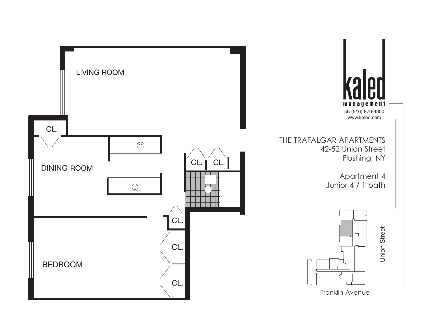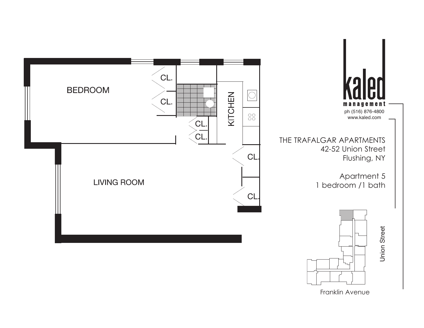

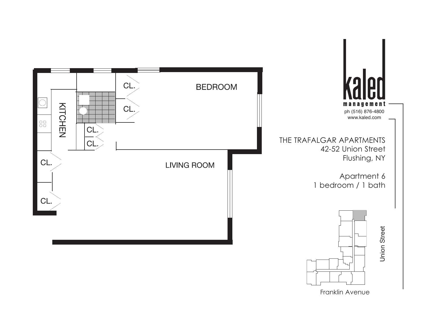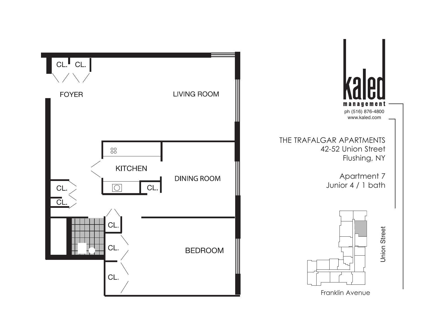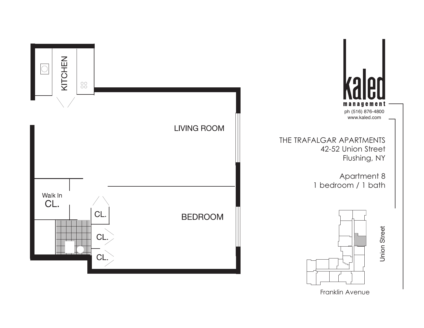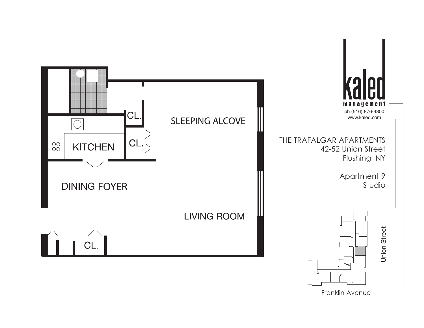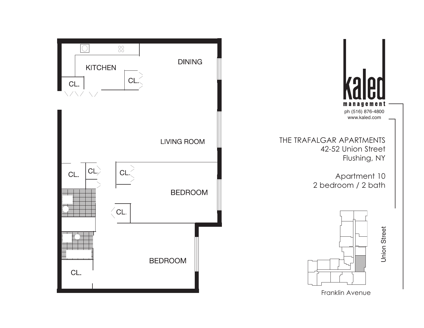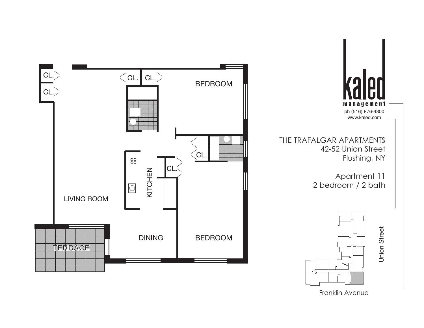

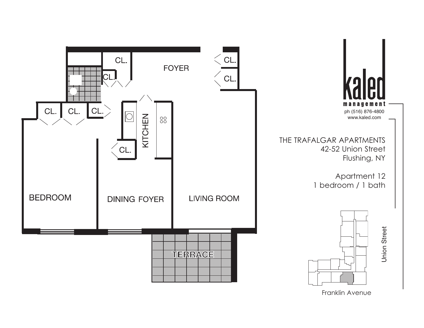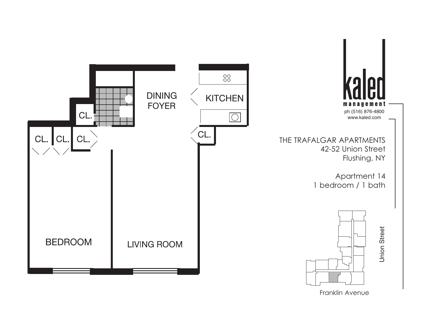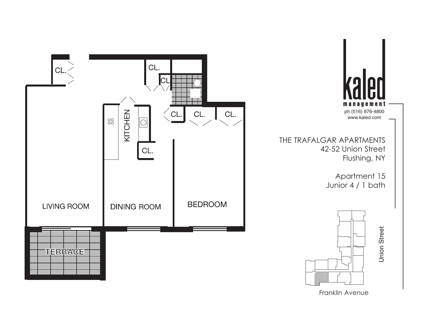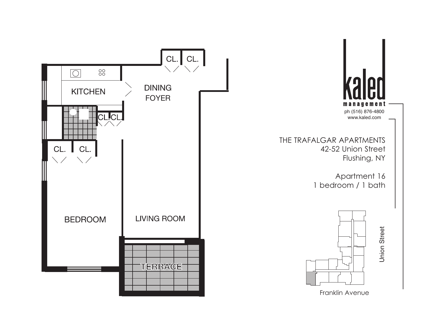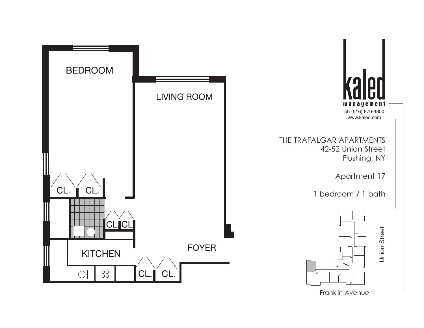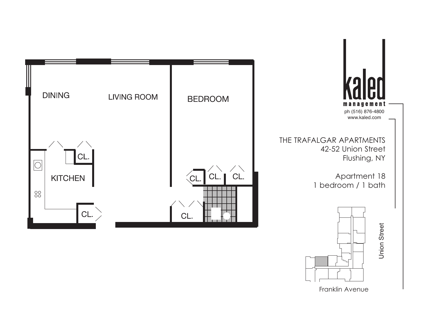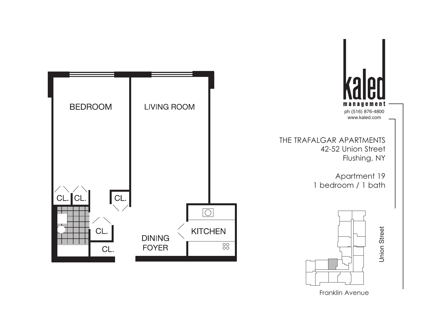